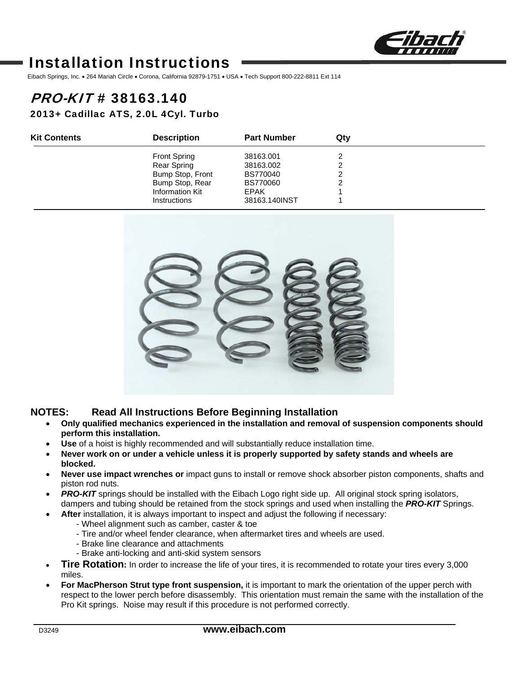

# Installation Instructions

Eibach Springs, Inc. . 264 Mariah Circle . Corona, California 92879-1751 . USA . Tech Support 800-222-8811 Ext 114

# PRO-KIT # 38163.140

2013+ Cadillac ATS, 2.0L 4Cyl. Turbo

| <b>Kit Contents</b> | <b>Description</b>  | <b>Part Number</b> | Qtv |  |
|---------------------|---------------------|--------------------|-----|--|
|                     | <b>Front Spring</b> | 38163.001          |     |  |
|                     | Rear Spring         | 38163.002          |     |  |
|                     | Bump Stop, Front    | <b>BS770040</b>    |     |  |
|                     | Bump Stop, Rear     | <b>BS770060</b>    |     |  |
|                     | Information Kit     | EPAK               |     |  |
|                     | <b>Instructions</b> | 38163.140INST      |     |  |



#### **NOTES: Read All Instructions Before Beginning Installation**

- **Only qualified mechanics experienced in the installation and removal of suspension components should perform this installation.**
- **Use** of a hoist is highly recommended and will substantially reduce installation time.
- **Never work on or under a vehicle unless it is properly supported by safety stands and wheels are blocked.**
- **Never use impact wrenches or** impact guns to install or remove shock absorber piston components, shafts and piston rod nuts.
- *PRO-KIT* springs should be installed with the Eibach Logo right side up. All original stock spring isolators, dampers and tubing should be retained from the stock springs and used when installing the *PRO-KIT* Springs.
- **After** installation, it is always important to inspect and adjust the following if necessary:
	- Wheel alignment such as camber, caster & toe
	- Tire and/or wheel fender clearance, when aftermarket tires and wheels are used.
	- Brake line clearance and attachments
	- Brake anti-locking and anti-skid system sensors
- **Tire Rotation:** In order to increase the life of your tires, it is recommended to rotate your tires every 3,000 miles.
- **For MacPherson Strut type front suspension,** it is important to mark the orientation of the upper perch with respect to the lower perch before disassembly. This orientation must remain the same with the installation of the Pro Kit springs. Noise may result if this procedure is not performed correctly.